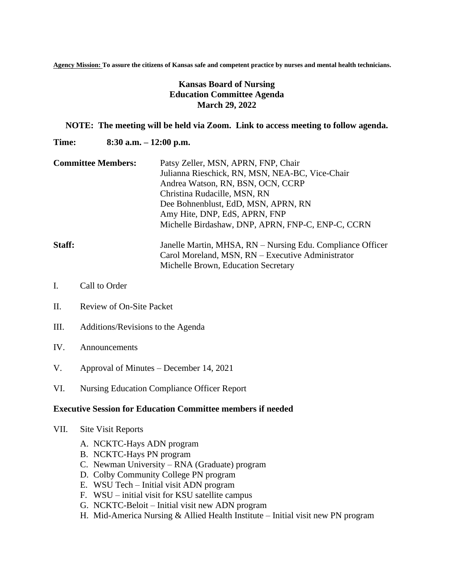**Agency Mission: To assure the citizens of Kansas safe and competent practice by nurses and mental health technicians.**

## **Kansas Board of Nursing Education Committee Agenda March 29, 2022**

## **NOTE: The meeting will be held via Zoom. Link to access meeting to follow agenda.**

**Time: 8:30 a.m. – 12:00 p.m.**

**Committee Members:** Patsy Zeller, MSN, APRN, FNP, Chair Julianna Rieschick, RN, MSN, NEA-BC, Vice-Chair Andrea Watson, RN, BSN, OCN, CCRP Christina Rudacille, MSN, RN Dee Bohnenblust, EdD, MSN, APRN, RN Amy Hite, DNP, EdS, APRN, FNP Michelle Birdashaw, DNP, APRN, FNP-C, ENP-C, CCRN

## **Staff:** Janelle Martin, MHSA, RN – Nursing Edu. Compliance Officer Carol Moreland, MSN, RN – Executive Administrator Michelle Brown, Education Secretary

- I. Call to Order
- II. Review of On-Site Packet
- III. Additions/Revisions to the Agenda
- IV. Announcements
- V. Approval of Minutes December 14, 2021
- VI. Nursing Education Compliance Officer Report

## **Executive Session for Education Committee members if needed**

- VII. Site Visit Reports
	- A. NCKTC-Hays ADN program
	- B. NCKTC-Hays PN program
	- C. Newman University RNA (Graduate) program
	- D. Colby Community College PN program
	- E. WSU Tech Initial visit ADN program
	- F. WSU initial visit for KSU satellite campus
	- G. NCKTC-Beloit Initial visit new ADN program
	- H. Mid-America Nursing & Allied Health Institute Initial visit new PN program